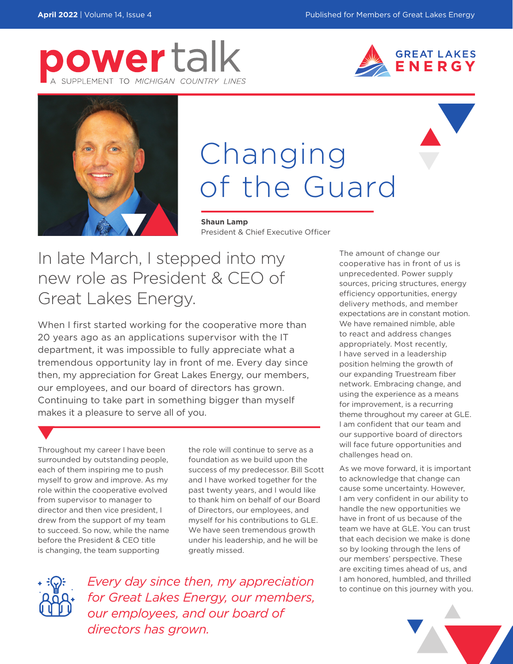





## Changing of the Guard

**Shaun Lamp** President & Chief Executive Officer

In late March, I stepped into my new role as President & CEO of Great Lakes Energy.

When I first started working for the cooperative more than 20 years ago as an applications supervisor with the IT department, it was impossible to fully appreciate what a tremendous opportunity lay in front of me. Every day since then, my appreciation for Great Lakes Energy, our members, our employees, and our board of directors has grown. Continuing to take part in something bigger than myself makes it a pleasure to serve all of you.

Throughout my career I have been surrounded by outstanding people, each of them inspiring me to push myself to grow and improve. As my role within the cooperative evolved from supervisor to manager to director and then vice president, I drew from the support of my team to succeed. So now, while the name before the President & CEO title is changing, the team supporting

the role will continue to serve as a foundation as we build upon the success of my predecessor. Bill Scott and I have worked together for the past twenty years, and I would like to thank him on behalf of our Board of Directors, our employees, and myself for his contributions to GLE. We have seen tremendous growth under his leadership, and he will be greatly missed.



**Every day since then, my appreciation** and the lam honored, humbled, and thrilled a lamborrow with you. *for Great Lakes Energy, our members, our employees, and our board of directors has grown.*

The amount of change our cooperative has in front of us is unprecedented. Power supply sources, pricing structures, energy efficiency opportunities, energy delivery methods, and member expectations are in constant motion. We have remained nimble, able to react and address changes appropriately. Most recently, I have served in a leadership position helming the growth of our expanding Truestream fiber network. Embracing change, and using the experience as a means for improvement, is a recurring theme throughout my career at GLE. I am confident that our team and our supportive board of directors will face future opportunities and challenges head on.

As we move forward, it is important to acknowledge that change can cause some uncertainty. However, I am very confident in our ability to handle the new opportunities we have in front of us because of the team we have at GLE. You can trust that each decision we make is done so by looking through the lens of our members' perspective. These are exciting times ahead of us, and I am honored, humbled, and thrilled